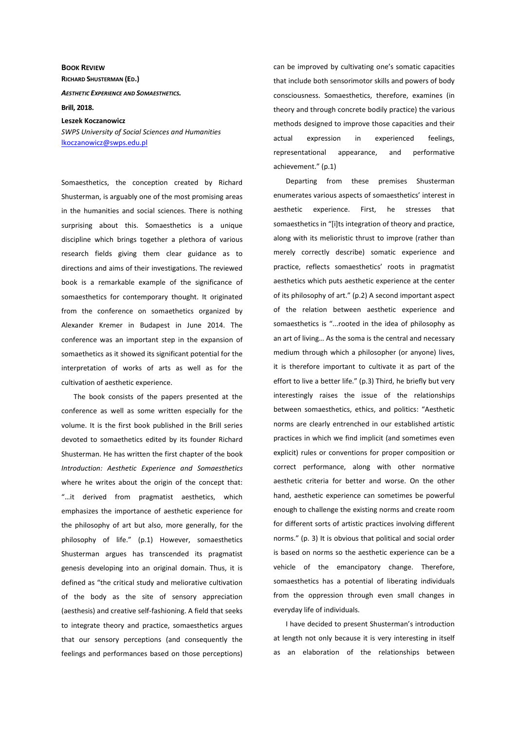**BOOK REVIEW RICHARD SHUSTERMAN (ED.)** *AESTHETIC EXPERIENCE AND SOMAESTHETICS.*  **Brill, 2018. Leszek Koczanowicz** 

*SWPS University of Social Sciences and Humanities*  lkoczanowicz@swps.edu.pl

Somaesthetics, the conception created by Richard Shusterman, is arguably one of the most promising areas in the humanities and social sciences. There is nothing surprising about this. Somaesthetics is a unique discipline which brings together a plethora of various research fields giving them clear guidance as to directions and aims of their investigations. The reviewed book is a remarkable example of the significance of somaesthetics for contemporary thought. It originated from the conference on somaethetics organized by Alexander Kremer in Budapest in June 2014. The conference was an important step in the expansion of somaethetics as it showed its significant potential for the interpretation of works of arts as well as for the cultivation of aesthetic experience.

The book consists of the papers presented at the conference as well as some written especially for the volume. It is the first book published in the Brill series devoted to somaethetics edited by its founder Richard Shusterman. He has written the first chapter of the book *Introduction: Aesthetic Experience and Somaesthetics* where he writes about the origin of the concept that: "…it derived from pragmatist aesthetics, which emphasizes the importance of aesthetic experience for the philosophy of art but also, more generally, for the philosophy of life." (p.1) However, somaesthetics Shusterman argues has transcended its pragmatist genesis developing into an original domain. Thus, it is defined as "the critical study and meliorative cultivation of the body as the site of sensory appreciation (aesthesis) and creative self-fashioning. A field that seeks to integrate theory and practice, somaesthetics argues that our sensory perceptions (and consequently the feelings and performances based on those perceptions) can be improved by cultivating one's somatic capacities that include both sensorimotor skills and powers of body consciousness. Somaesthetics, therefore, examines (in theory and through concrete bodily practice) the various methods designed to improve those capacities and their actual expression in experienced feelings, representational appearance, and performative achievement." (p.1)

Departing from these premises Shusterman enumerates various aspects of somaesthetics' interest in aesthetic experience. First, he stresses that somaesthetics in "[i]ts integration of theory and practice, along with its melioristic thrust to improve (rather than merely correctly describe) somatic experience and practice, reflects somaesthetics' roots in pragmatist aesthetics which puts aesthetic experience at the center of its philosophy of art." (p.2) A second important aspect of the relation between aesthetic experience and somaesthetics is "...rooted in the idea of philosophy as an art of living… As the soma is the central and necessary medium through which a philosopher (or anyone) lives, it is therefore important to cultivate it as part of the effort to live a better life." (p.3) Third, he briefly but very interestingly raises the issue of the relationships between somaesthetics, ethics, and politics: "Aesthetic norms are clearly entrenched in our established artistic practices in which we find implicit (and sometimes even explicit) rules or conventions for proper composition or correct performance, along with other normative aesthetic criteria for better and worse. On the other hand, aesthetic experience can sometimes be powerful enough to challenge the existing norms and create room for different sorts of artistic practices involving different norms." (p. 3) It is obvious that political and social order is based on norms so the aesthetic experience can be a vehicle of the emancipatory change. Therefore, somaesthetics has a potential of liberating individuals from the oppression through even small changes in everyday life of individuals.

I have decided to present Shusterman's introduction at length not only because it is very interesting in itself as an elaboration of the relationships between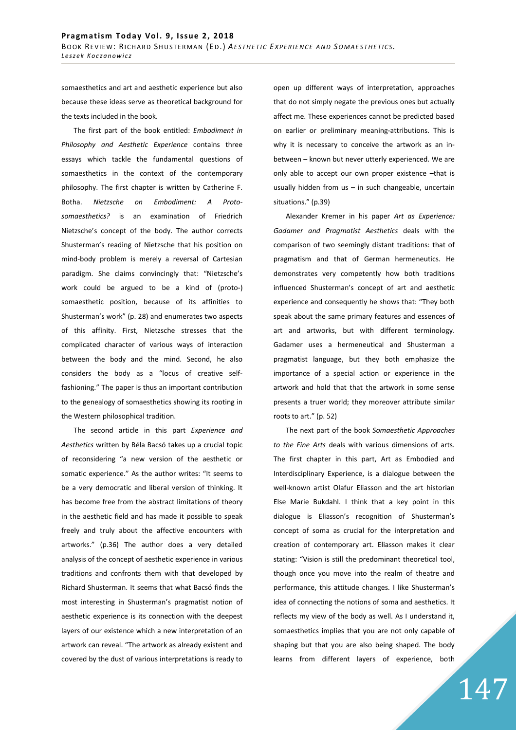somaesthetics and art and aesthetic experience but also because these ideas serve as theoretical background for the texts included in the book.

The first part of the book entitled: *Embodiment in Philosophy and Aesthetic Experience* contains three essays which tackle the fundamental questions of somaesthetics in the context of the contemporary philosophy. The first chapter is written by Catherine F. Botha. *Nietzsche on Embodiment: A Protosomaesthetics?* is an examination of Friedrich Nietzsche's concept of the body. The author corrects Shusterman's reading of Nietzsche that his position on mind-body problem is merely a reversal of Cartesian paradigm. She claims convincingly that: "Nietzsche's work could be argued to be a kind of (proto-) somaesthetic position, because of its affinities to Shusterman's work" (p. 28) and enumerates two aspects of this affinity. First, Nietzsche stresses that the complicated character of various ways of interaction between the body and the mind. Second, he also considers the body as a "locus of creative selffashioning." The paper is thus an important contribution to the genealogy of somaesthetics showing its rooting in the Western philosophical tradition.

The second article in this part *Experience and Aesthetics* written by Béla Bacsó takes up a crucial topic of reconsidering "a new version of the aesthetic or somatic experience." As the author writes: "It seems to be a very democratic and liberal version of thinking. It has become free from the abstract limitations of theory in the aesthetic field and has made it possible to speak freely and truly about the affective encounters with artworks." (p.36) The author does a very detailed analysis of the concept of aesthetic experience in various traditions and confronts them with that developed by Richard Shusterman. It seems that what Bacsó finds the most interesting in Shusterman's pragmatist notion of aesthetic experience is its connection with the deepest layers of our existence which a new interpretation of an artwork can reveal. "The artwork as already existent and covered by the dust of various interpretations is ready to

open up different ways of interpretation, approaches that do not simply negate the previous ones but actually affect me. These experiences cannot be predicted based on earlier or preliminary meaning-attributions. This is why it is necessary to conceive the artwork as an inbetween – known but never utterly experienced. We are only able to accept our own proper existence –that is usually hidden from us  $-$  in such changeable, uncertain situations." (p.39)

Alexander Kremer in his paper *Art as Experience: Gadamer and Pragmatist Aesthetics* deals with the comparison of two seemingly distant traditions: that of pragmatism and that of German hermeneutics. He demonstrates very competently how both traditions influenced Shusterman's concept of art and aesthetic experience and consequently he shows that: "They both speak about the same primary features and essences of art and artworks, but with different terminology. Gadamer uses a hermeneutical and Shusterman a pragmatist language, but they both emphasize the importance of a special action or experience in the artwork and hold that that the artwork in some sense presents a truer world; they moreover attribute similar roots to art." (p. 52)

The next part of the book *Somaesthetic Approaches to the Fine Arts* deals with various dimensions of arts. The first chapter in this part, Art as Embodied and Interdisciplinary Experience, is a dialogue between the well-known artist Olafur Eliasson and the art historian Else Marie Bukdahl. I think that a key point in this dialogue is Eliasson's recognition of Shusterman's concept of soma as crucial for the interpretation and creation of contemporary art. Eliasson makes it clear stating: "Vision is still the predominant theoretical tool, though once you move into the realm of theatre and performance, this attitude changes. I like Shusterman's idea of connecting the notions of soma and aesthetics. It reflects my view of the body as well. As I understand it, somaesthetics implies that you are not only capable of shaping but that you are also being shaped. The body learns from different layers of experience, both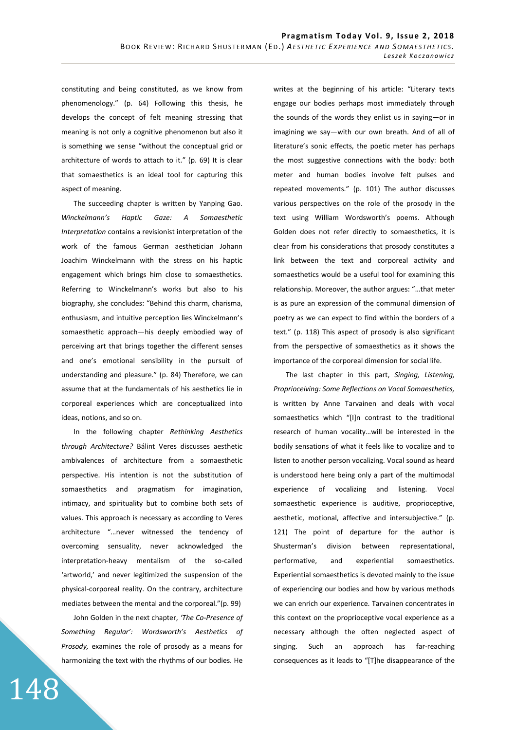constituting and being constituted, as we know from phenomenology." (p. 64) Following this thesis, he develops the concept of felt meaning stressing that meaning is not only a cognitive phenomenon but also it is something we sense "without the conceptual grid or architecture of words to attach to it." (p. 69) It is clear that somaesthetics is an ideal tool for capturing this aspect of meaning.

The succeeding chapter is written by Yanping Gao. *Winckelmann's Haptic Gaze: A Somaesthetic Interpretation* contains a revisionist interpretation of the work of the famous German aesthetician Johann Joachim Winckelmann with the stress on his haptic engagement which brings him close to somaesthetics. Referring to Winckelmann's works but also to his biography, she concludes: "Behind this charm, charisma, enthusiasm, and intuitive perception lies Winckelmann's somaesthetic approach—his deeply embodied way of perceiving art that brings together the different senses and one's emotional sensibility in the pursuit of understanding and pleasure." (p. 84) Therefore, we can assume that at the fundamentals of his aesthetics lie in corporeal experiences which are conceptualized into ideas, notions, and so on.

In the following chapter *Rethinking Aesthetics through Architecture?* Bálint Veres discusses aesthetic ambivalences of architecture from a somaesthetic perspective. His intention is not the substitution of somaesthetics and pragmatism for imagination, intimacy, and spirituality but to combine both sets of values. This approach is necessary as according to Veres architecture "…never witnessed the tendency of overcoming sensuality, never acknowledged the interpretation-heavy mentalism of the so-called 'artworld,' and never legitimized the suspension of the physical-corporeal reality. On the contrary, architecture mediates between the mental and the corporeal."(p. 99)

John Golden in the next chapter, *'The Co-Presence of Something Regular': Wordsworth's Aesthetics of Prosody,* examines the role of prosody as a means for harmonizing the text with the rhythms of our bodies. He

148

writes at the beginning of his article: "Literary texts engage our bodies perhaps most immediately through the sounds of the words they enlist us in saying—or in imagining we say—with our own breath. And of all of literature's sonic effects, the poetic meter has perhaps the most suggestive connections with the body: both meter and human bodies involve felt pulses and repeated movements." (p. 101) The author discusses various perspectives on the role of the prosody in the text using William Wordsworth's poems. Although Golden does not refer directly to somaesthetics, it is clear from his considerations that prosody constitutes a link between the text and corporeal activity and somaesthetics would be a useful tool for examining this relationship. Moreover, the author argues: "…that meter is as pure an expression of the communal dimension of poetry as we can expect to find within the borders of a text." (p. 118) This aspect of prosody is also significant from the perspective of somaesthetics as it shows the importance of the corporeal dimension for social life.

The last chapter in this part, *Singing, Listening, Proprioceiving: Some Reflections on Vocal Somaesthetics,* is written by Anne Tarvainen and deals with vocal somaesthetics which "[I]n contrast to the traditional research of human vocality…will be interested in the bodily sensations of what it feels like to vocalize and to listen to another person vocalizing. Vocal sound as heard is understood here being only a part of the multimodal experience of vocalizing and listening. Vocal somaesthetic experience is auditive, proprioceptive, aesthetic, motional, affective and intersubjective." (p. 121) The point of departure for the author is Shusterman's division between representational, performative, and experiential somaesthetics. Experiential somaesthetics is devoted mainly to the issue of experiencing our bodies and how by various methods we can enrich our experience. Tarvainen concentrates in this context on the proprioceptive vocal experience as a necessary although the often neglected aspect of singing. Such an approach has far-reaching consequences as it leads to "[T]he disappearance of the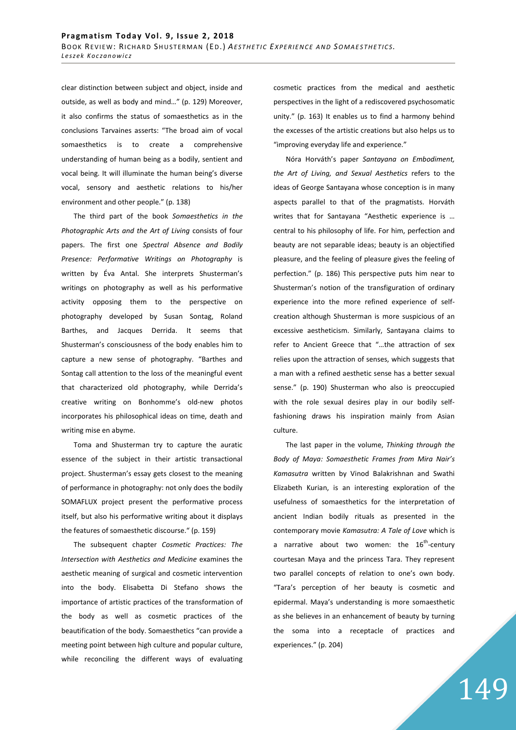clear distinction between subject and object, inside and outside, as well as body and mind…" (p. 129) Moreover, it also confirms the status of somaesthetics as in the conclusions Tarvaines asserts: "The broad aim of vocal somaesthetics is to create a comprehensive understanding of human being as a bodily, sentient and vocal being. It will illuminate the human being's diverse vocal, sensory and aesthetic relations to his/her environment and other people." (p. 138)

The third part of the book *Somaesthetics in the Photographic Arts and the Art of Living* consists of four papers. The first one *Spectral Absence and Bodily Presence: Performative Writings on Photography* is written by Éva Antal. She interprets Shusterman's writings on photography as well as his performative activity opposing them to the perspective on photography developed by Susan Sontag, Roland Barthes, and Jacques Derrida. It seems that Shusterman's consciousness of the body enables him to capture a new sense of photography. "Barthes and Sontag call attention to the loss of the meaningful event that characterized old photography, while Derrida's creative writing on Bonhomme's old-new photos incorporates his philosophical ideas on time, death and writing mise en abyme.

Toma and Shusterman try to capture the auratic essence of the subject in their artistic transactional project. Shusterman's essay gets closest to the meaning of performance in photography: not only does the bodily SOMAFLUX project present the performative process itself, but also his performative writing about it displays the features of somaesthetic discourse." (p. 159)

The subsequent chapter *Cosmetic Practices: The Intersection with Aesthetics and Medicine* examines the aesthetic meaning of surgical and cosmetic intervention into the body. Elisabetta Di Stefano shows the importance of artistic practices of the transformation of the body as well as cosmetic practices of the beautification of the body. Somaesthetics "can provide a meeting point between high culture and popular culture, while reconciling the different ways of evaluating cosmetic practices from the medical and aesthetic perspectives in the light of a rediscovered psychosomatic unity." (p. 163) It enables us to find a harmony behind the excesses of the artistic creations but also helps us to "improving everyday life and experience."

Nóra Horváth's paper *Santayana on Embodiment, the Art of Living, and Sexual Aesthetics* refers to the ideas of George Santayana whose conception is in many aspects parallel to that of the pragmatists. Horváth writes that for Santayana "Aesthetic experience is … central to his philosophy of life. For him, perfection and beauty are not separable ideas; beauty is an objectified pleasure, and the feeling of pleasure gives the feeling of perfection." (p. 186) This perspective puts him near to Shusterman's notion of the transfiguration of ordinary experience into the more refined experience of selfcreation although Shusterman is more suspicious of an excessive aestheticism. Similarly, Santayana claims to refer to Ancient Greece that "…the attraction of sex relies upon the attraction of senses, which suggests that a man with a refined aesthetic sense has a better sexual sense." (p. 190) Shusterman who also is preoccupied with the role sexual desires play in our bodily selffashioning draws his inspiration mainly from Asian culture.

The last paper in the volume, *Thinking through the Body of Maya: Somaesthetic Frames from Mira Nair's Kamasutra* written by Vinod Balakrishnan and Swathi Elizabeth Kurian, is an interesting exploration of the usefulness of somaesthetics for the interpretation of ancient Indian bodily rituals as presented in the contemporary movie *Kamasutra: A Tale of Love* which is a narrative about two women: the  $16^{th}$ -century courtesan Maya and the princess Tara. They represent two parallel concepts of relation to one's own body. "Tara's perception of her beauty is cosmetic and epidermal. Maya's understanding is more somaesthetic as she believes in an enhancement of beauty by turning the soma into a receptacle of practices and experiences." (p. 204)

## 149